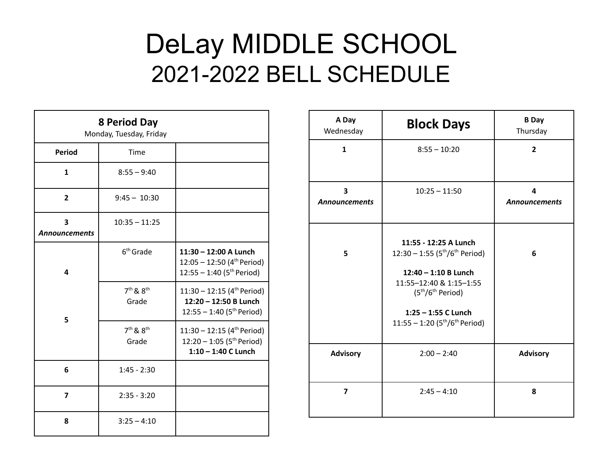## DeLay MIDDLE SCHOOL 2021-2022 BELL SCHEDULE

| <b>8 Period Day</b><br>Monday, Tuesday, Friday |                        |                                                                                                              |  |
|------------------------------------------------|------------------------|--------------------------------------------------------------------------------------------------------------|--|
| <b>Period</b>                                  | Time                   |                                                                                                              |  |
| 1                                              | $8:55 - 9:40$          |                                                                                                              |  |
| $\mathbf{2}$                                   | $9:45 - 10:30$         |                                                                                                              |  |
| 3<br><b>Announcements</b>                      | $10:35 - 11:25$        |                                                                                                              |  |
| 4                                              | $6th$ Grade            | 11:30 - 12:00 A Lunch<br>$12:05 - 12:50$ (4 <sup>th</sup> Period)<br>$12:55 - 1:40$ (5 <sup>th</sup> Period) |  |
| 5                                              | $7th$ & $8th$<br>Grade | 11:30 - 12:15 (4 <sup>th</sup> Period)<br>12:20 - 12:50 B Lunch<br>12:55 - 1:40 (5 <sup>th</sup> Period)     |  |
|                                                | $7th$ & $8th$<br>Grade | 11:30 - 12:15 (4 <sup>th</sup> Period)<br>12:20 - 1:05 (5 <sup>th</sup> Period)<br>$1:10 - 1:40$ C Lunch     |  |
| 6                                              | $1:45 - 2:30$          |                                                                                                              |  |
| 7                                              | $2:35 - 3:20$          |                                                                                                              |  |
| 8                                              | $3:25 - 4:10$          |                                                                                                              |  |

| A Day<br>Wednesday        | <b>Block Days</b>                                                                                                                                                                                | <b>B</b> Day<br>Thursday  |
|---------------------------|--------------------------------------------------------------------------------------------------------------------------------------------------------------------------------------------------|---------------------------|
| $\mathbf{1}$              | $8:55 - 10:20$                                                                                                                                                                                   | $\overline{2}$            |
| 3<br><b>Announcements</b> | $10:25 - 11:50$                                                                                                                                                                                  | 4<br><b>Announcements</b> |
| 5                         | 11:55 - 12:25 A Lunch<br>$12:30 - 1:55 (5th/6th Period)$<br>$12:40 - 1:10 B$ Lunch<br>11:55-12:40 & 1:15-1:55<br>$(5th/6th Period)$<br>$1:25 - 1:55$ C Lunch<br>11:55 - 1:20 ( $5th/6th$ Period) | 6                         |
| <b>Advisory</b>           | $2:00 - 2:40$                                                                                                                                                                                    | <b>Advisory</b>           |
| $\overline{\mathbf{z}}$   | $2:45 - 4:10$                                                                                                                                                                                    | 8                         |